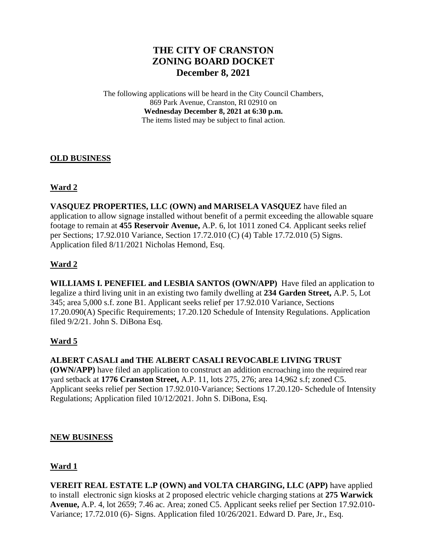# **THE CITY OF CRANSTON ZONING BOARD DOCKET December 8, 2021**

The following applications will be heard in the City Council Chambers, 869 Park Avenue, Cranston, RI 02910 on **Wednesday December 8, 2021 at 6:30 p.m.** The items listed may be subject to final action.

#### **OLD BUSINESS**

### **Ward 2**

**VASQUEZ PROPERTIES, LLC (OWN) and MARISELA VASQUEZ** have filed an application to allow signage installed without benefit of a permit exceeding the allowable square footage to remain at **455 Reservoir Avenue,** A.P. 6, lot 1011 zoned C4. Applicant seeks relief per Sections; 17.92.010 Variance, Section 17.72.010 (C) (4) Table 17.72.010 (5) Signs. Application filed 8/11/2021 Nicholas Hemond, Esq.

## **Ward 2**

**WILLIAMS I. PENEFIEL and LESBIA SANTOS (OWN/APP)** Have filed an application to legalize a third living unit in an existing two family dwelling at **234 Garden Street,** A.P. 5, Lot 345; area 5,000 s.f. zone B1. Applicant seeks relief per 17.92.010 Variance, Sections 17.20.090(A) Specific Requirements; 17.20.120 Schedule of Intensity Regulations. Application filed 9/2/21. John S. DiBona Esq.

### **Ward 5**

**ALBERT CASALI and THE ALBERT CASALI REVOCABLE LIVING TRUST (OWN/APP)** have filed an application to construct an addition encroaching into the required rear yard setback at **1776 Cranston Street,** A.P. 11, lots 275, 276; area 14,962 s.f; zoned C5. Applicant seeks relief per Section 17.92.010-Variance; Sections 17.20.120- Schedule of Intensity Regulations; Application filed 10/12/2021. John S. DiBona, Esq.

#### **NEW BUSINESS**

#### **Ward 1**

**VEREIT REAL ESTATE L.P (OWN) and VOLTA CHARGING, LLC (APP)** have applied to install electronic sign kiosks at 2 proposed electric vehicle charging stations at **275 Warwick Avenue,** A.P. 4, lot 2659; 7.46 ac. Area; zoned C5. Applicant seeks relief per Section 17.92.010- Variance; 17.72.010 (6)- Signs. Application filed 10/26/2021. Edward D. Pare, Jr., Esq.